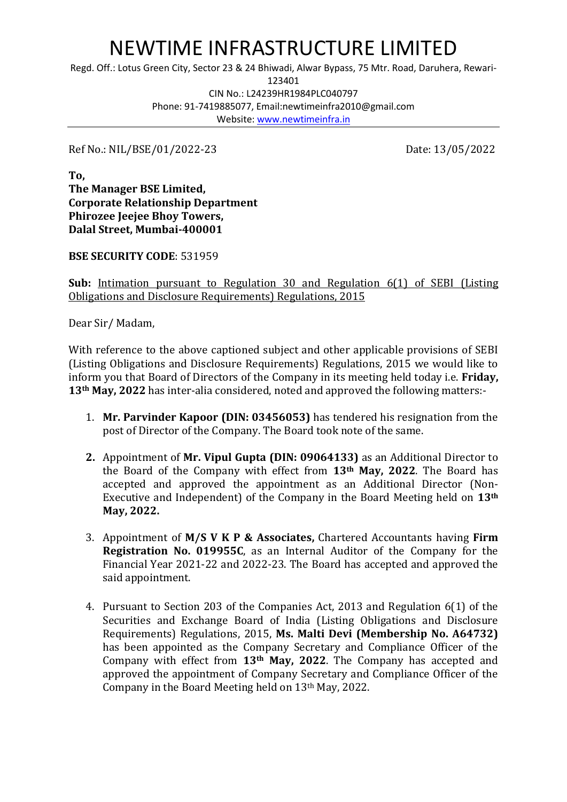## NEWTIME INFRASTRUCTURE LIMITED

Regd. Off.: Lotus Green City, Sector 23 & 24 Bhiwadi, Alwar Bypass, 75 Mtr. Road, Daruhera, Rewari-

123401

CIN No.: L24239HR1984PLC040797 Phone: 91-7419885077, Email:newtimeinfra2010@gmail.com Website: [www.newtimeinfra.in](http://www.newtimeinfra.in/)

Ref No.: NIL/BSE/01/2022-23 Date: 13/05/2022

**To, The Manager BSE Limited, Corporate Relationship Department Phirozee Jeejee Bhoy Towers, Dalal Street, Mumbai-400001**

**BSE SECURITY CODE**: 531959

**Sub:** Intimation pursuant to Regulation 30 and Regulation 6(1) of SEBI (Listing Obligations and Disclosure Requirements) Regulations, 2015

Dear Sir/ Madam,

With reference to the above captioned subject and other applicable provisions of SEBI (Listing Obligations and Disclosure Requirements) Regulations, 2015 we would like to inform you that Board of Directors of the Company in its meeting held today i.e. **Friday, 13th May, 2022** has inter-alia considered, noted and approved the following matters:-

- 1. **Mr. Parvinder Kapoor (DIN: [03456053\)](https://www.mca.gov.in/mcafoportal/companyLLPMasterData.do)** has tendered his resignation from the post of Director of the Company. The Board took note of the same.
- **2.** Appointment of **Mr. Vipul Gupta (DIN: 09064133)** as an Additional Director to the Board of the Company with effect from **13th May, 2022**. The Board has accepted and approved the appointment as an Additional Director (Non-Executive and Independent) of the Company in the Board Meeting held on **13th May, 2022.**
- 3. Appointment of **M/S V K P & Associates,** Chartered Accountants having **Firm Registration No. 019955C**, as an Internal Auditor of the Company for the Financial Year 2021-22 and 2022-23. The Board has accepted and approved the said appointment.
- 4. Pursuant to Section 203 of the Companies Act, 2013 and Regulation 6(1) of the Securities and Exchange Board of India (Listing Obligations and Disclosure Requirements) Regulations, 2015, **Ms. Malti Devi (Membership No. A64732)**  has been appointed as the Company Secretary and Compliance Officer of the Company with effect from **13th May, 2022**. The Company has accepted and approved the appointment of Company Secretary and Compliance Officer of the Company in the Board Meeting held on 13th May, 2022.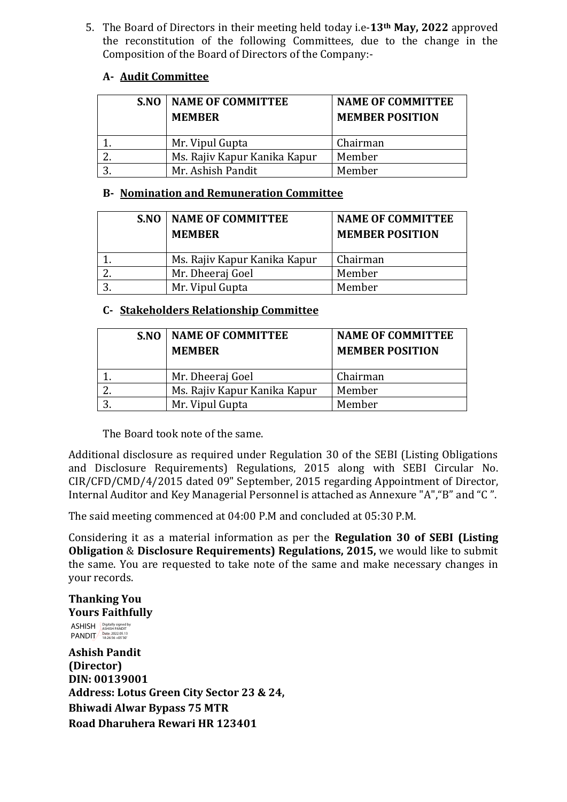5. The Board of Directors in their meeting held today i.e-**13th May, 2022** approved the reconstitution of the following Committees, due to the change in the Composition of the Board of Directors of the Company:-

## **A- Audit Committee**

| S.NO | <b>NAME OF COMMITTEE</b><br><b>MEMBER</b> | <b>NAME OF COMMITTEE</b><br><b>MEMBER POSITION</b> |
|------|-------------------------------------------|----------------------------------------------------|
|      | Mr. Vipul Gupta                           | Chairman                                           |
|      | Ms. Rajiv Kapur Kanika Kapur              | Member                                             |
|      | Mr. Ashish Pandit                         | Member                                             |

## **B- Nomination and Remuneration Committee**

|   | S.NO | <b>NAME OF COMMITTEE</b><br><b>MEMBER</b> | <b>NAME OF COMMITTEE</b><br><b>MEMBER POSITION</b> |
|---|------|-------------------------------------------|----------------------------------------------------|
|   |      | Ms. Rajiv Kapur Kanika Kapur              | Chairman                                           |
|   |      | Mr. Dheeraj Goel                          | Member                                             |
| 2 |      | Mr. Vipul Gupta                           | Member                                             |

## **C- Stakeholders Relationship Committee**

| S.NO | <b>NAME OF COMMITTEE</b><br><b>MEMBER</b> | <b>NAME OF COMMITTEE</b><br><b>MEMBER POSITION</b> |
|------|-------------------------------------------|----------------------------------------------------|
|      | Mr. Dheeraj Goel                          | Chairman                                           |
| Ζ.   | Ms. Rajiv Kapur Kanika Kapur              | Member                                             |
| ∍    | Mr. Vipul Gupta                           | Member                                             |

The Board took note of the same.

Additional disclosure as required under Regulation 30 of the SEBI (Listing Obligations and Disclosure Requirements) Regulations, 2015 along with SEBI Circular No. CIR/CFD/CMD/4/2015 dated 09" September, 2015 regarding Appointment of Director, Internal Auditor and Key Managerial Personnel is attached as Annexure "A","B" and "C ".

The said meeting commenced at 04:00 P.M and concluded at 05:30 P.M.

Considering it as a material information as per the **Regulation 30 of SEBI (Listing Obligation** & **Disclosure Requirements) Regulations, 2015,** we would like to submit the same. You are requested to take note of the same and make necessary changes in your records.

**Thanking You Yours Faithfully**

ASHISH PANDIT Digitally signed by ASHISH PANDIT Date: 2022.05.13 18:26:56 +05'30'

**Ashish Pandit (Director) DIN: 00139001 Address: Lotus Green City Sector 23 & 24, Bhiwadi Alwar Bypass 75 MTR Road Dharuhera Rewari HR 123401**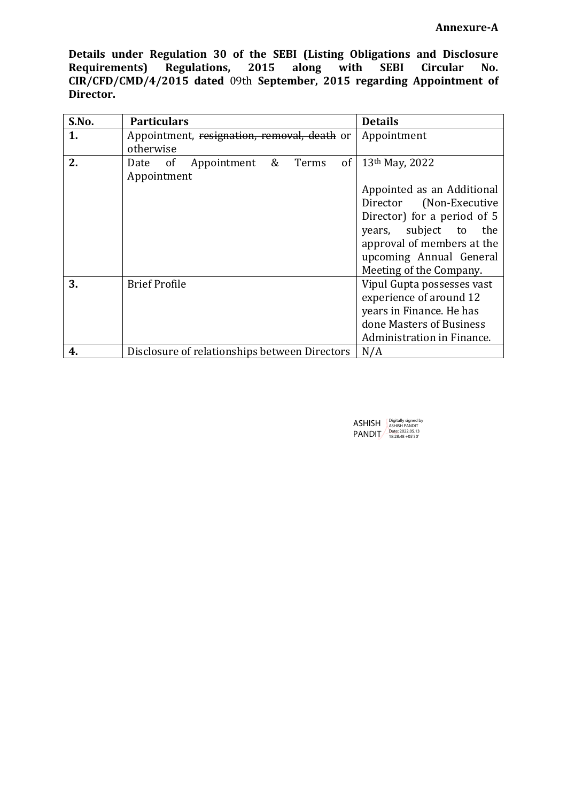**Details under Regulation 30 of the SEBI (Listing Obligations and Disclosure Requirements) Regulations, 2015 along with SEBI Circular No. CIR/CFD/CMD/4/2015 dated** 09th **September, 2015 regarding Appointment of Director.**

| S.No. | <b>Particulars</b>                                                                 | <b>Details</b>                                                                                                                                                                                                         |
|-------|------------------------------------------------------------------------------------|------------------------------------------------------------------------------------------------------------------------------------------------------------------------------------------------------------------------|
| 1.    | Appointment, resignation, removal, death or<br>otherwise                           | Appointment                                                                                                                                                                                                            |
| 2.    | &<br><sub>of</sub><br>Appointment<br>Terms<br>Date<br><sub>of</sub><br>Appointment | 13th May, 2022<br>Appointed as an Additional<br>Director (Non-Executive<br>Director) for a period of 5<br>years, subject to<br>the<br>approval of members at the<br>upcoming Annual General<br>Meeting of the Company. |
| 3.    | <b>Brief Profile</b>                                                               | Vipul Gupta possesses vast<br>experience of around 12<br>years in Finance. He has<br>done Masters of Business<br>Administration in Finance.                                                                            |
| 4.    | Disclosure of relationships between Directors                                      | N/A                                                                                                                                                                                                                    |

| <b>ASHISH</b> | Digitally signed by<br><b>ASHISH PANDIT</b> |
|---------------|---------------------------------------------|
| PANDIT        | Date: 2022.05.13<br>18:28:48 + 05'30"       |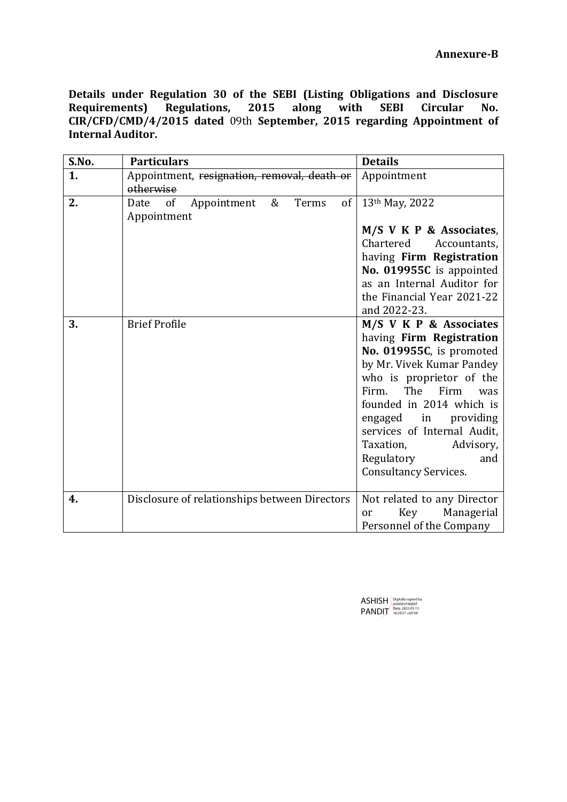**Details under Regulation 30 of the SEBI (Listing Obligations and Disclosure Requirements) Regulations, 2015 along with SEBI Circular No. CIR/CFD/CMD/4/2015 dated** 09th **September, 2015 regarding Appointment of Internal Auditor.**

| S.No. | <b>Particulars</b>                                        | <b>Details</b>                                                                                                                                                                                                                                                                                                                           |
|-------|-----------------------------------------------------------|------------------------------------------------------------------------------------------------------------------------------------------------------------------------------------------------------------------------------------------------------------------------------------------------------------------------------------------|
| 1.    | Appointment, resignation, removal, death or<br>otherwise  | Appointment                                                                                                                                                                                                                                                                                                                              |
| 2.    | &<br>Terms<br>Date of<br>Appointment<br>of<br>Appointment | 13 <sup>th</sup> May, 2022<br>M/S V K P & Associates,<br>Chartered<br>Accountants,<br>having Firm Registration<br>No. 019955C is appointed<br>as an Internal Auditor for                                                                                                                                                                 |
|       |                                                           | the Financial Year 2021-22<br>and 2022-23.                                                                                                                                                                                                                                                                                               |
| 3.    | <b>Brief Profile</b>                                      | M/S V K P & Associates<br>having Firm Registration<br>No. 019955C, is promoted<br>by Mr. Vivek Kumar Pandey<br>who is proprietor of the<br>The Firm<br>Firm.<br>was<br>founded in 2014 which is<br>engaged in<br>providing<br>services of Internal Audit,<br>Taxation,<br>Advisory,<br>Regulatory<br>and<br><b>Consultancy Services.</b> |
| 4.    | Disclosure of relationships between Directors             | Not related to any Director<br>Key Managerial<br>or<br>Personnel of the Company                                                                                                                                                                                                                                                          |

ASHISH **PANDIT** Digitally signed by ASHISH PANDIT Date: 2022.05.13 18:29:57 +05'30'